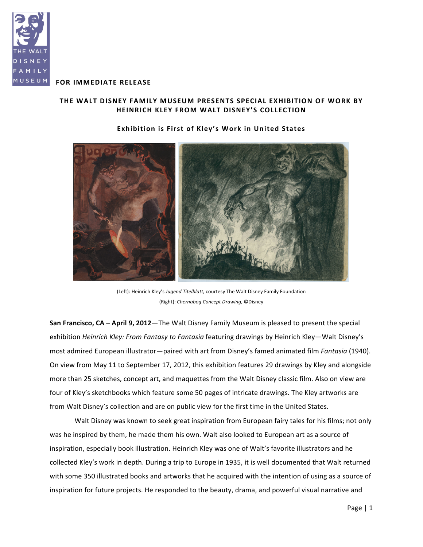

# **FOR IMMEDIATE RELEASE**

# THE WALT DISNEY FAMILY MUSEUM PRESENTS SPECIAL EXHIBITION OF WORK BY **HEINRICH!KLEY FROM!WALT!DISNEY'S!COLLECTION**

## **Exhibition is First of Kley's Work in United States**

(Left): Heinrich Kley's *Jugend Titelblatt,* courtesy The Walt Disney Family Foundation (Right):%*Chernabog'Concept'Drawing*,%©Disney

**San Francisco, CA – April 9, 2012—The Walt Disney Family Museum is pleased to present the special** exhibition *Heinrich Kley: From Fantasy to Fantasia* featuring drawings by Heinrich Kley—Walt Disney's most admired European illustrator—paired with art from Disney's famed animated film *Fantasia* (1940). On view from May 11 to September 17, 2012, this exhibition features 29 drawings by Kley and alongside more than 25 sketches, concept art, and maquettes from the Walt Disney classic film. Also on view are four of Kley's sketchbooks which feature some 50 pages of intricate drawings. The Kley artworks are from Walt Disney's collection and are on public view for the first time in the United States.

Walt Disney was known to seek great inspiration from European fairy tales for his films; not only was he inspired by them, he made them his own. Walt also looked to European art as a source of inspiration, especially book illustration. Heinrich Kley was one of Walt's favorite illustrators and he collected Kley's work in depth. During a trip to Europe in 1935, it is well documented that Walt returned with some 350 illustrated books and artworks that he acquired with the intention of using as a source of inspiration for future projects. He responded to the beauty, drama, and powerful visual narrative and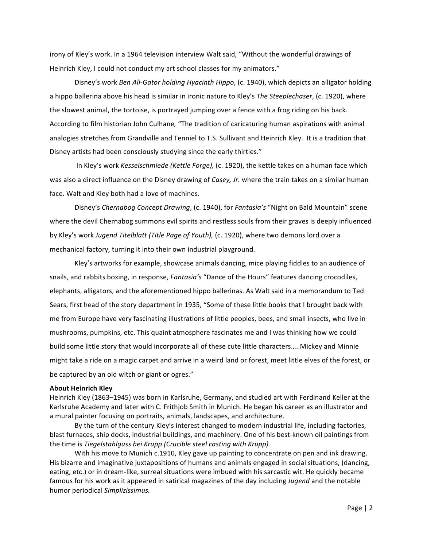irony of Kley's work. In a 1964 television interview Walt said, "Without the wonderful drawings of Heinrich Kley, I could not conduct my art school classes for my animators."

Disney's work *Ben Ali-Gator holding Hyacinth Hippo*, (c. 1940), which depicts an alligator holding a hippo ballerina above his head is similar in ironic nature to Kley's *The Steeplechaser*, (c. 1920), where the slowest animal, the tortoise, is portrayed jumping over a fence with a frog riding on his back. According to film historian John Culhane, "The tradition of caricaturing human aspirations with animal analogies stretches from Grandville and Tenniel to T.S. Sullivant and Heinrich Kley. It is a tradition that Disney artists had been consciously studying since the early thirties."

In Kley's work Kesselschmiede *(Kettle Forge),* (c. 1920), the kettle takes on a human face which was also a direct influence on the Disney drawing of *Casey, Jr.* where the train takes on a similar human face. Walt and Kley both had a love of machines.

Disney's *Chernabog Concept Drawing*, (c. 1940), for *Fantasia's* "Night on Bald Mountain" scene where the devil Chernabog summons evil spirits and restless souls from their graves is deeply influenced by Kley's work *Jugend Titelblatt (Title Page of Youth),* (c. 1920), where two demons lord over a mechanical factory, turning it into their own industrial playground.

Kley's artworks for example, showcase animals dancing, mice playing fiddles to an audience of snails, and rabbits boxing, in response, *Fantasia's* "Dance of the Hours" features dancing crocodiles, elephants, alligators, and the aforementioned hippo ballerinas. As Walt said in a memorandum to Ted Sears, first head of the story department in 1935, "Some of these little books that I brought back with me from Europe have very fascinating illustrations of little peoples, bees, and small insects, who live in mushrooms, pumpkins, etc. This quaint atmosphere fascinates me and I was thinking how we could build some little story that would incorporate all of these cute little characters…..Mickey and Minnie might take a ride on a magic carpet and arrive in a weird land or forest, meet little elves of the forest, or be captured by an old witch or giant or ogres."

#### **About!Heinrich Kley**

Heinrich Kley (1863–1945) was born in Karlsruhe, Germany, and studied art with Ferdinand Keller at the Karlsruhe Academy and later with C. Frithjob Smith in Munich. He began his career as an illustrator and a mural painter focusing on portraits, animals, landscapes, and architecture.

By the turn of the century Kley's interest changed to modern industrial life, including factories, blast furnaces, ship docks, industrial buildings, and machinery. One of his best-known oil paintings from the time%is%*Tiegelstahlguss'bei'Krupp (Crucible'steel'casting'with'Krupp).*

With his move to Munich c.1910, Kley gave up painting to concentrate on pen and ink drawing. His bizarre and imaginative juxtapositions of humans and animals engaged in social situations, (dancing, eating, etc.) or in dream-like, surreal situations were imbued with his sarcastic wit. He quickly became famous for his work as it appeared in satirical magazines of the day including *Jugend* and the notable humor%periodical *Simplizissimus.*